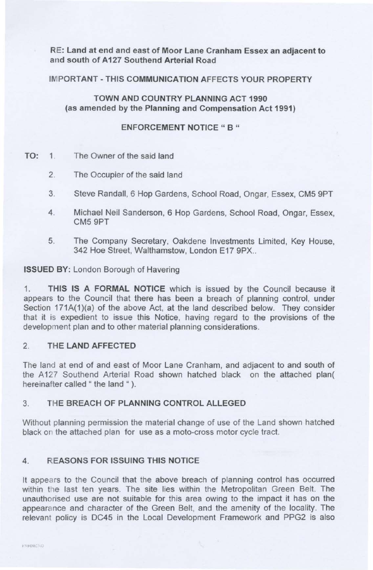RE: Land at end and east of Moor Lane Cranham Essex an adjacent to and south of A127 Southend Arterial Road

IMPORTANT-THIS COMMUNICATION AFFECTS YOUR PROPERTY

TOWN AND COUNTRY PLANNING ACT 1990 (as amended by the Planning and Compensation Act 1991)

ENFORCEMENT NOTICE " B "

- TO: 1. The Owner of the said land
	- 2. The Occupier of the said land
	- 3 Steve Randall, 6 Hop Gardens, School Road, Ongar, Essex, CM5 9PT
	- 4 Michael Neil Sanderson, 6 Hop Gardens, School Road, Ongar, Essex, CM5 9PT
	- 5. The Company Secretary, Oakdene Investments Limited, Key House, 342 Hoe Street, Walthamstow, London E17 9PX..

ISSUED BY: London Borough of Havering

1. THIS IS A FORMAL NOTICE which is issued by the Council because it appears to the Council that there has been a breach of planning control, under Section 171A(1)(a) of the above Act, at the land described below. They consider that it is expedient to issue this Notice, having regard to the provisions of the development plan and to other material planning considerations.

## 2. THE LAND AFFECTED

The land at end of and east of Moor Lane Cranham, and adjacent to and south of the A127 Southend Arterial Road shown hatched black on the attached plan( hereinafter called " the land ").

## 3. THE BREACH OF PLANNING CONTROL ALLEGED

Without planning permission the material change of use of the Land shown hatched black or the attached plan for use as a moto-cross motor cycle tract.

## 4. REASONS FOR ISSUING THIS NOTICE

It appears to the Council that the above breach of planning control has occurred within the last ten years. The site lies within the Metropolitan Green Belt. The unauthorised use are not suitable for this area owing to the impact it has on the appearance and character of the Green Belt, and the amenity of the locality. The relevant policy is DC45 in the Local Development Framework and PPG2 is also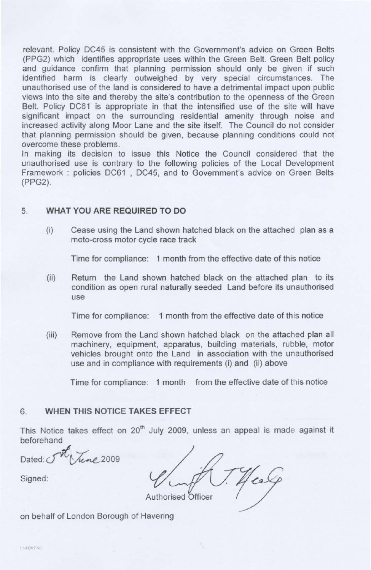relevant. Policy DC45 is consistent with the Government's advice on Green Belts (PPG2) which identifies appropriate uses within the Green Belt. Green Belt policy and guidance confirm that planning permission should only be given if such identified harm is clearly outweighed by very special circumstances. The unauthorised use of the land is considered to have a detrimental impact upon public views into the site and thereby the site's contribution to the openness of the Green Belt. Policy DC61 is appropriate in that the intensified use of the site will have significant impact on the surrounding residential amenity through noise and increased activity along Moor Lane and the site itself. The Council do not consider that planning permission should be given, because planning conditions could not overcome these problems.

In making its decision to issue this Notice the Council considered that the unauthorised use is contrary to the following policies of the Local Development Framework : policies DC61 , DC45, and to Government's advice on Green Belts (PPG2).

## 5. **WHAT YOU ARE REQUIRED TO DO**

(i) Cease using the Land shown hatched black on the attached plan as a mote-cross motor cycle race track

Time for compliance: 1 month from the effective date of this notice

(ii) Return the Land shown hatched black on the attached plan to its condition as open rural naturally seeded Land before its unauthorised use

Time for compliance: 1 month from the effective date of this notice

(iii) Remove from the Land shown hatched black on the attached plan all machinery, equipment, apparatus, building materials, rubble, motor vehicles brought onto the Land in association with the unauthorised use and in compliance with requirements (i) and (ii) above

Time for compliance: 1 month from the effective date of this notice

# 6. **WHEN THIS NOTICE TAKES EFFECT**

This Notice takes effect on 20<sup>th</sup> July 2009, unless an appeal is made against it beforehand

Dated  $\widetilde{\mathcal{N}}$  /  $\widetilde{\mathcal{N}}$  2009

Authorised Officer

Signed:

on behalf of London Borough of Havering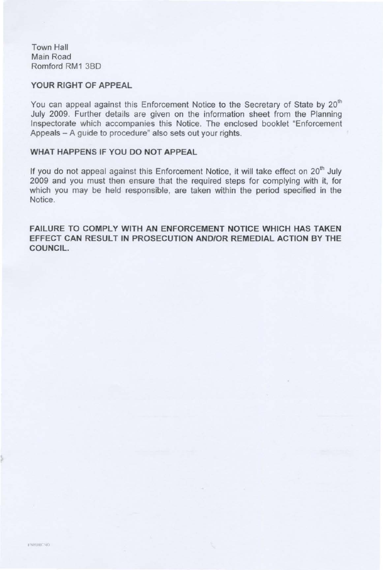Town Hall Main Road Romford RM1 380

#### **YOUR RIGHT OF APPEAL**

You can appeal against this Enforcement Notice to the Secretary of State by 20<sup>th</sup> July 2009. Further details are given on the information sheet from the Planning Inspectorate which accompanies this Notice. The enclosed booklet "Enforcement Appeals - A guide to procedure" also sets out your rights.

## **WHAT HAPPENS IF YOU DO NOT APPEAL**

If you do not appeal against this Enforcement Notice, it will take effect on 20<sup>th</sup> July 2009 and you must then ensure that the required steps for complying with it, for which you may be held responsible, are taken within the period specified in the Notice.

**FAILURE TO COMPLY WITH AN ENFORCEMENT NOTICE WHICH HAS TAKEN EFFECT CAN RESULT IN PROSECUTION AND/OR REMEDIAL ACTION BY THE COUNCIL.**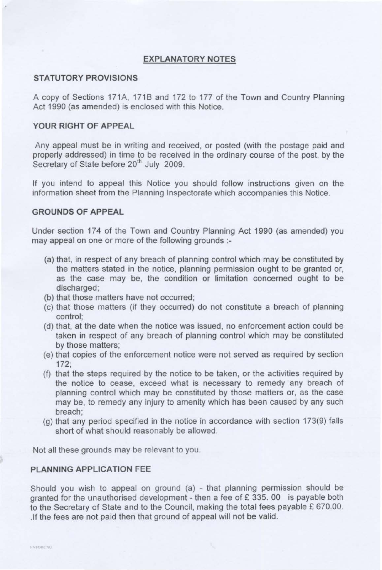### **EXPLANATORY NOTES**

#### **STATUTORY PROVISIONS**

A copy of Sections 171A, 1718 and 172 to 177 of the Town and Country Planning Act 1990 (as amended) is enclosed with this Notice.

#### **YOUR RIGHT OF APPEAL**

Any appeal must be in writing and received, or posted (with the postage paid and properly addressed) in time to be received in the ordinary course of the post, by the Secretary of State before 20<sup>th</sup> July 2009.

If you intend to appeal this Notice you should follow instructions given on the information sheet from the Planning Inspectorate which accompanies this Notice.

#### **GROUNDS OF APPEAL**

Under section 174 of the Town and Country Planning Act 1990 (as amended) you may appeal on one or more of the following grounds :

- (a) that, in respect of any breach of planning control which may be constituted by the matters stated in the notice, planning permission ought to be granted or, as the case may be, the condition or limitation concerned ought to be discharged;
- (b) that those matters have not occurred;
- (c) that those matters (if they occurred) do not constitute a breach of planning control;
- (d) that, at the date when the notice was issued, no enforcement action could be taken in respect of any breach of planning control which may be constituted by those matters;
- (e) that copies of the enforcement notice were not served as required by section 172;
- (f) that the steps required by the notice to be taken, or the activities required by the notice to cease, exceed what is necessary to remedy any breach of planning control which may be constituted by those matters or, as the case may be, to remedy any injury to amenity which has been caused by any such breach;
- (g) that any period specified in the notice in accordance with section 173(9) falls short of what should reasonably be allowed.

Not all these grounds may be relevant to you.

#### **PLANNING APPLICATION FEE**

Should you wish to appeal on ground  $(a)$  - that planning permission should be granted for the unauthorised development - then a fee of  $E$  335. 00 is payable both to the Secretary of State and to the Council, making the total fees payable  $£ 670.00$ . . If the fees are not paid then that ground of appeal will not be valid.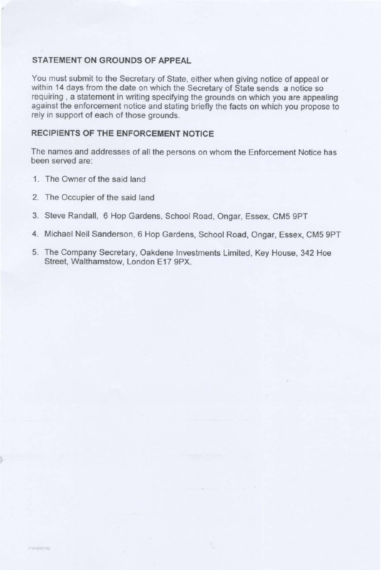#### **STATEMENT ON GROUNDS OF APPEAL**

'

You must submit to the Secretary of State, either when giving notice of appeal or within 14 days from the date on which the Secretary of State sends a notice so requiring , a statement in writing specifying the grounds on which you are appealing against the enforcement notice and stating briefly the facts on which you propose to rely in support of each of those grounds.

# **RECIPIENTS OF THE ENFORCEMENT NOTICE**

The names and addresses of all the persons on whom the Enforcement Notice has been served are:

- 1. The Owner of the said land
- 2. The Occupier of the said land
- 3. Steve Randall, 6 Hop Gardens, School Road, Ongar, Essex, CM5 9PT
- 4. Michael Neil Sanderson, 6 Hop Gardens, School Road, Ongar, Essex, CM5 9PT
- 5. The Company Secretary, Oakdene Investments Limited, Key House, 342 Hoe Street, Walthamstow, London E17 9PX.